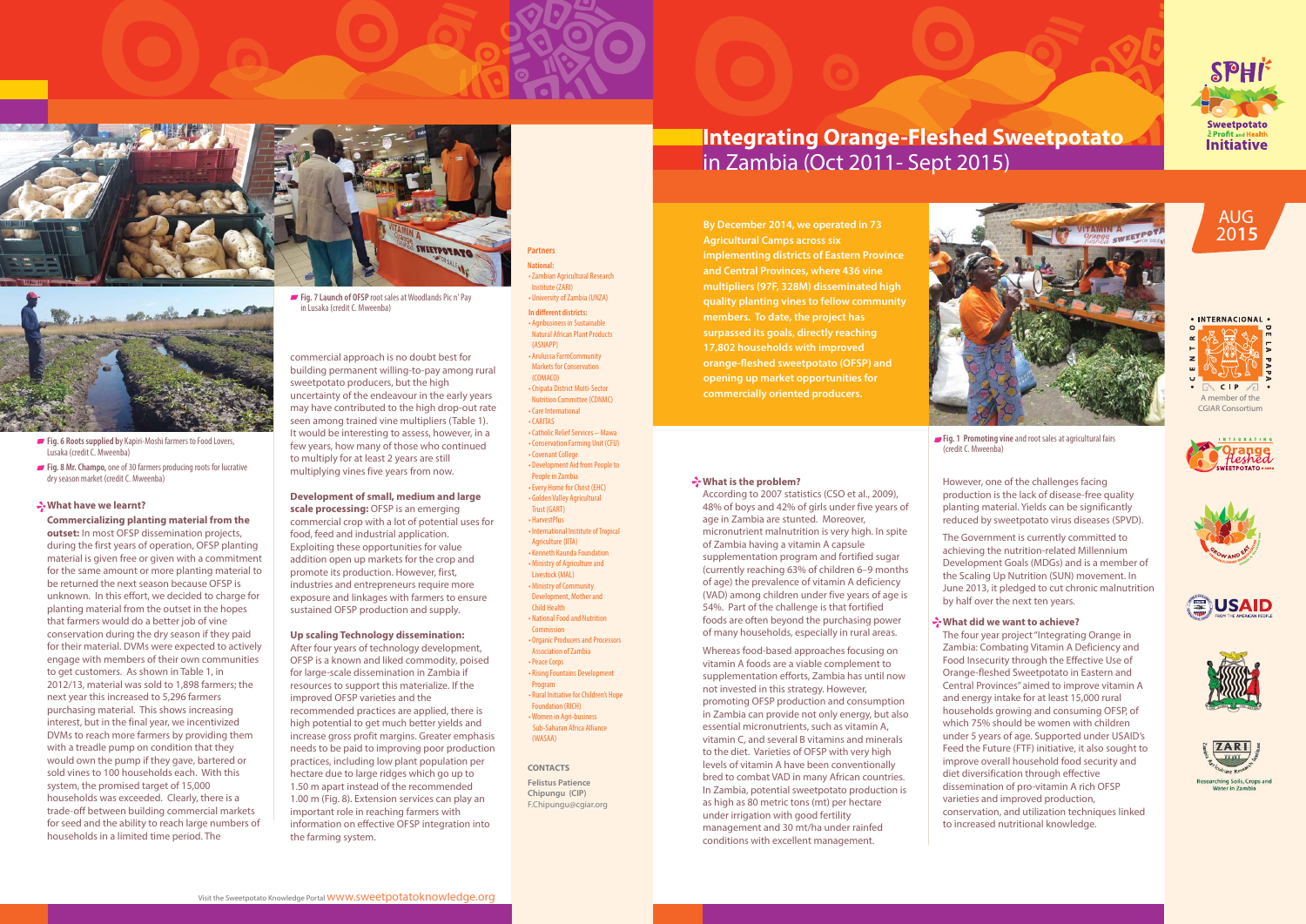# **What is the problem?**

According to 2007 statistics (CSO et al., 2009), 48% of boys and 42% of girls under five years of age in Zambia are stunted. Moreover, micronutrient malnutrition is very high. In spite of Zambia having a vitamin A capsule supplementation program and fortified sugar (currently reaching 63% of children 6–9 months of age) the prevalence of vitamin A deficiency (VAD) among children under five years of age is 54%. Part of the challenge is that fortified foods are often beyond the purchasing power of many households, especially in rural areas.

Whereas food-based approaches focusing on vitamin A foods are a viable complement to supplementation efforts, Zambia has until now not invested in this strategy. However, promoting OFSP production and consumption in Zambia can provide not only energy, but also essential micronutrients, such as vitamin A, vitamin C, and several B vitamins and minerals to the diet. Varieties of OFSP with very high levels of vitamin A have been conventionally bred to combat VAD in many African countries. In Zambia, potential sweetpotato production is as high as 80 metric tons (mt) per hectare under irrigation with good fertility management and 30 mt/ha under rainfed conditions with excellent management.





However, one of the challenges facing production is the lack of disease-free quality planting material. Yields can be significantly reduced by sweetpotato virus diseases (SPVD).

The Government is currently committed to achieving the nutrition-related Millennium Development Goals (MDGs) and is a member of the Scaling Up Nutrition (SUN) movement. In June 2013, it pledged to cut chronic malnutrition by half over the next ten years.

# **What did we want to achieve?**

The four year project "Integrating Orange in Zambia: Combating Vitamin A Deficiency and Food Insecurity through the Effective Use of Orange-fleshed Sweetpotato in Eastern and Central Provinces" aimed to improve vitamin A and energy intake for at least 15,000 rural households growing and consuming OFSP, of which 75% should be women with children under 5 years of age. Supported under USAID's Feed the Future (FTF) initiative, it also sought to improve overall household food security and diet diversification through effective dissemination of pro-vitamin A rich OFSP varieties and improved production, conservation, and utilization techniques linked to increased nutritional knowledge.

**CONTACTS Felistus Patience Chipungu (CIP)** F.Chipungu@cgiar.org

## **What have we learnt?**

• Zambian Agricultural Research Research Institute (ZARI) • University of Zambia (UNZA) **In different districts:** • Agribusiness in Sustainable Sustainable Natural African Plant Products Products (ASNAPP) • Arulussa FarmCommunity Markets for Conservation Conservation (COMACO) • Chipata District Multi-Sector Nutrition Committee (CDNMC) • Care International • CARITAS • Catholic Relief Services – Mawa • Conservation Farming Unit (CFU) • Covenant College • Development Aid from People to People in Zambia • Every Home for Christ (EHC) • Golden Valley Agricultural Trust (GART) • HarvestPlus • International Institute of Tropical Agriculture (IITA) • Kenneth Kaunda Foundation • Ministry of Agriculture and Livestock (MAL) • Ministry of Community Development, Mother and Child Health • National Food and Nutrition Foodand Nutrition Commission • Organic Producers and Processors Association of Zambia • Peace Corps • Rising Fountains Development Development Program • Rural Initiative for Children's Hope Foundation (RICH) • Women in Agri-business Sub-Saharan Africa Alliance (WASAA) • CARITAS<br>• Catholic Relief Services – Mawa<br>• Conservation Farming Unit (CFU)<br>• Covenant College<br>• Development Aid from People to<br>• People in Zambia<br>• Fvery Home for Christ (EHC)<br>• Golden Valley Agricultural<br>• Trust (GART)

**Commercializing planting material from the outset:** In most OFSP dissemination projects, during the first years of operation, OFSP planting material is given free or given with a commitment for the same amount or more planting material to be returned the next season because OFSP is unknown. In this effort, we decided to charge for planting material from the outset in the hopes that farmers would do a better job of vine conservation during the dry season if they paid for their material. DVMs were expected to actively engage with members of their own communities to get customers. As shown in Table 1, in 2012/13, material was sold to 1,898 farmers; the next year this increased to 5,296 farmers purchasing material. This shows increasing interest, but in the final year, we incentivized DVMs to reach more farmers by providing them with a treadle pump on condition that they would own the pump if they gave, bartered or sold vines to 100 households each. With this system, the promised target of 15,000 households was exceeded. Clearly, there is a trade-off between building commercial markets for seed and the ability to reach large numbers of households in a limited time period. The





- **Fig. 6 Roots supplied by Kapiri-Moshi farmers to Food Lovers.** Lusaka (credit C. Mweenba)
- **Fig. 8 Mr. Champo,** one of 30 farmers producing roots for lucrative dry season market (credit C. Mweenba)

commercial approach is no doubt best for building permanent willing-to-pay among rural sweetpotato producers, but the high uncertainty of the endeavour in the early years may have contributed to the high drop-out rate seen among trained vine multipliers (Table 1). It would be interesting to assess, however, in a few years, how many of those who continued to multiply for at least 2 years are still multiplying vines five years from now.

# **Development of small, medium and large**

**scale processing:** OFSP is an emerging commercial crop with a lot of potential uses for food, feed and industrial application. Exploiting these opportunities for value addition open up markets for the crop and promote its production. However, first, industries and entrepreneurs require more exposure and linkages with farmers to ensure sustained OFSP production and supply.

# **Up scaling Technology dissemination:**

After four years of technology development, OFSP is a known and liked commodity, poised for large-scale dissemination in Zambia if resources to support this materialize. If the improved OFSP varieties and the recommended practices are applied, there is high potential to get much better yields and increase gross profit margins. Greater emphasis needs to be paid to improving poor production practices, including low plant population per hectare due to large ridges which go up to 1.50 m apart instead of the recommended 1.00 m (Fig. 8). Extension services can play an important role in reaching farmers with information on effective OFSP integration into the farming system.



**By December 2014, we operated in 73 Agricultural Camps across six implementing districts of Eastern Province and Central Provinces, where 436 vine multipliers (97F, 328M) disseminated high quality planting vines to fellow community members. To date, the project has surpassed its goals, directly reaching 17,802 households with improved orange-fleshed sweetpotato (OFSP) and opening up market opportunities for** 













**Fig. 1 Promoting vine** and root sales at agricultural fairs

(credit C. Mweenba)

#### **Partners National:**

**Fig. 7 Launch of OFSP** root sales at Woodlands Pic n' Pay in Lusaka (credit C. Mweenba)



# in Zambia (Oct 2011- Sept 2015)